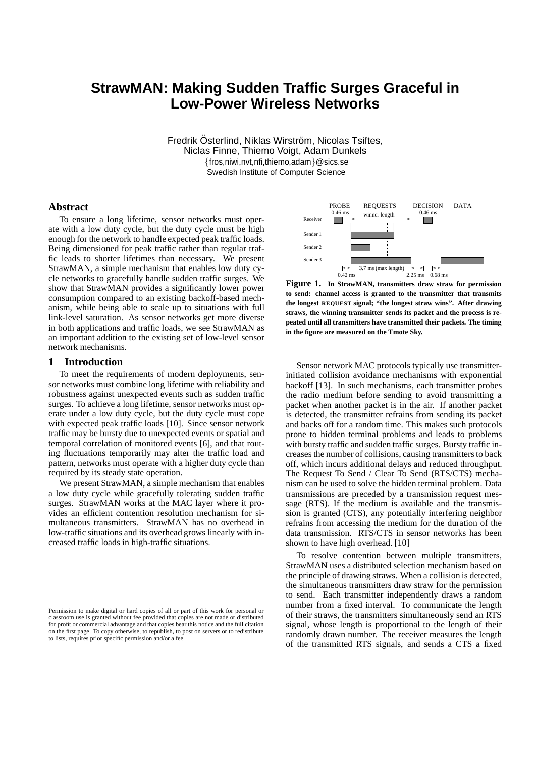# **StrawMAN: Making Sudden Traffic Surges Graceful in Low-Power Wireless Networks**

Fredrik Österlind, Niklas Wirström, Nicolas Tsiftes, Niclas Finne, Thiemo Voigt, Adam Dunkels {fros,niwi,nvt,nfi,thiemo,adam}@sics.se Swedish Institute of Computer Science

## **Abstract**

To ensure a long lifetime, sensor networks must operate with a low duty cycle, but the duty cycle must be high enough for the network to handle expected peak traffic loads. Being dimensioned for peak traffic rather than regular traffic leads to shorter lifetimes than necessary. We present StrawMAN, a simple mechanism that enables low duty cycle networks to gracefully handle sudden traffic surges. We show that StrawMAN provides a significantly lower power consumption compared to an existing backoff-based mechanism, while being able to scale up to situations with full link-level saturation. As sensor networks get more diverse in both applications and traffic loads, we see StrawMAN as an important addition to the existing set of low-level sensor network mechanisms.

#### **1 Introduction**

To meet the requirements of modern deployments, sensor networks must combine long lifetime with reliability and robustness against unexpected events such as sudden traffic surges. To achieve a long lifetime, sensor networks must operate under a low duty cycle, but the duty cycle must cope with expected peak traffic loads [10]. Since sensor network traffic may be bursty due to unexpected events or spatial and temporal correlation of monitored events [6], and that routing fluctuations temporarily may alter the traffic load and pattern, networks must operate with a higher duty cycle than required by its steady state operation.

We present StrawMAN, a simple mechanism that enables a low duty cycle while gracefully tolerating sudden traffic surges. StrawMAN works at the MAC layer where it provides an efficient contention resolution mechanism for simultaneous transmitters. StrawMAN has no overhead in low-traffic situations and its overhead grows linearly with increased traffic loads in high-traffic situations.



**Figure 1. In StrawMAN, transmitters draw straw for permission to send: channel access is granted to the transmitter that transmits the longest REQUEST signal; "the longest straw wins". After drawing straws, the winning transmitter sends its packet and the process is repeated until all transmitters have transmitted their packets. The timing in the figure are measured on the Tmote Sky.**

Sensor network MAC protocols typically use transmitterinitiated collision avoidance mechanisms with exponential backoff [13]. In such mechanisms, each transmitter probes the radio medium before sending to avoid transmitting a packet when another packet is in the air. If another packet is detected, the transmitter refrains from sending its packet and backs off for a random time. This makes such protocols prone to hidden terminal problems and leads to problems with bursty traffic and sudden traffic surges. Bursty traffic increases the number of collisions, causing transmitters to back off, which incurs additional delays and reduced throughput. The Request To Send / Clear To Send (RTS/CTS) mechanism can be used to solve the hidden terminal problem. Data transmissions are preceded by a transmission request message (RTS). If the medium is available and the transmission is granted (CTS), any potentially interfering neighbor refrains from accessing the medium for the duration of the data transmission. RTS/CTS in sensor networks has been shown to have high overhead. [10]

To resolve contention between multiple transmitters, StrawMAN uses a distributed selection mechanism based on the principle of drawing straws. When a collision is detected, the simultaneous transmitters draw straw for the permission to send. Each transmitter independently draws a random number from a fixed interval. To communicate the length of their straws, the transmitters simultaneously send an RTS signal, whose length is proportional to the length of their randomly drawn number. The receiver measures the length of the transmitted RTS signals, and sends a CTS a fixed

Permission to make digital or hard copies of all or part of this work for personal or classroom use is granted without fee provided that copies are not made or distributed for profit or commercial advantage and that copies bear this notice and the full citation on the first page. To copy otherwise, to republish, to post on servers or to redistribute to lists, requires prior specific permission and/or a fee.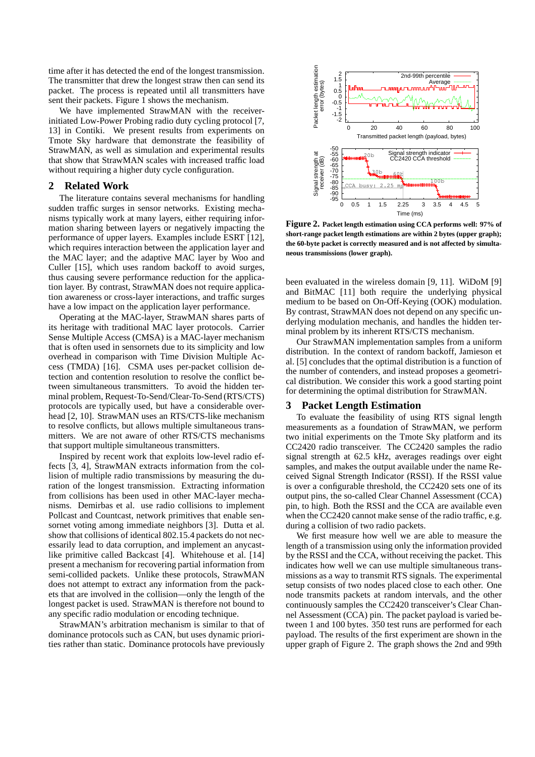time after it has detected the end of the longest transmission. The transmitter that drew the longest straw then can send its packet. The process is repeated until all transmitters have sent their packets. Figure 1 shows the mechanism.

We have implemented StrawMAN with the receiverinitiated Low-Power Probing radio duty cycling protocol [7, 13] in Contiki. We present results from experiments on Tmote Sky hardware that demonstrate the feasibility of StrawMAN, as well as simulation and experimental results that show that StrawMAN scales with increased traffic load without requiring a higher duty cycle configuration.

# **2 Related Work**

The literature contains several mechanisms for handling sudden traffic surges in sensor networks. Existing mechanisms typically work at many layers, either requiring information sharing between layers or negatively impacting the performance of upper layers. Examples include ESRT [12], which requires interaction between the application layer and the MAC layer; and the adaptive MAC layer by Woo and Culler [15], which uses random backoff to avoid surges, thus causing severe performance reduction for the application layer. By contrast, StrawMAN does not require application awareness or cross-layer interactions, and traffic surges have a low impact on the application layer performance.

Operating at the MAC-layer, StrawMAN shares parts of its heritage with traditional MAC layer protocols. Carrier Sense Multiple Access (CMSA) is a MAC-layer mechanism that is often used in sensornets due to its simplicity and low overhead in comparison with Time Division Multiple Access (TMDA) [16]. CSMA uses per-packet collision detection and contention resolution to resolve the conflict between simultaneous transmitters. To avoid the hidden terminal problem, Request-To-Send/Clear-To-Send (RTS/CTS) protocols are typically used, but have a considerable overhead [2, 10]. StrawMAN uses an RTS/CTS-like mechanism to resolve conflicts, but allows multiple simultaneous transmitters. We are not aware of other RTS/CTS mechanisms that support multiple simultaneous transmitters.

Inspired by recent work that exploits low-level radio effects [3, 4], StrawMAN extracts information from the collision of multiple radio transmissions by measuring the duration of the longest transmission. Extracting information from collisions has been used in other MAC-layer mechanisms. Demirbas et al. use radio collisions to implement Pollcast and Countcast, network primitives that enable sensornet voting among immediate neighbors [3]. Dutta et al. show that collisions of identical 802.15.4 packets do not necessarily lead to data corruption, and implement an anycastlike primitive called Backcast [4]. Whitehouse et al. [14] present a mechanism for recovering partial information from semi-collided packets. Unlike these protocols, StrawMAN does not attempt to extract any information from the packets that are involved in the collision—only the length of the longest packet is used. StrawMAN is therefore not bound to any specific radio modulation or encoding technique.

StrawMAN's arbitration mechanism is similar to that of dominance protocols such as CAN, but uses dynamic priorities rather than static. Dominance protocols have previously



**Figure 2. Packet length estimation using CCA performs well: 97% of short-range packet length estimations are within 2 bytes (upper graph); the 60-byte packet is correctly measured and is not affected by simultaneous transmissions (lower graph).**

been evaluated in the wireless domain [9, 11]. WiDoM [9] and BitMAC [11] both require the underlying physical medium to be based on On-Off-Keying (OOK) modulation. By contrast, StrawMAN does not depend on any specific underlying modulation mechanis, and handles the hidden terminal problem by its inherent RTS/CTS mechanism.

Our StrawMAN implementation samples from a uniform distribution. In the context of random backoff, Jamieson et al. [5] concludes that the optimal distribution is a function of the number of contenders, and instead proposes a geometrical distribution. We consider this work a good starting point for determining the optimal distribution for StrawMAN.

#### **3 Packet Length Estimation**

To evaluate the feasibility of using RTS signal length measurements as a foundation of StrawMAN, we perform two initial experiments on the Tmote Sky platform and its CC2420 radio transceiver. The CC2420 samples the radio signal strength at 62.5 kHz, averages readings over eight samples, and makes the output available under the name Received Signal Strength Indicator (RSSI). If the RSSI value is over a configurable threshold, the CC2420 sets one of its output pins, the so-called Clear Channel Assessment (CCA) pin, to high. Both the RSSI and the CCA are available even when the CC2420 cannot make sense of the radio traffic, e.g. during a collision of two radio packets.

We first measure how well we are able to measure the length of a transmission using only the information provided by the RSSI and the CCA, without receiving the packet. This indicates how well we can use multiple simultaneous transmissions as a way to transmit RTS signals. The experimental setup consists of two nodes placed close to each other. One node transmits packets at random intervals, and the other continuously samples the CC2420 transceiver's Clear Channel Assessment (CCA) pin. The packet payload is varied between 1 and 100 bytes. 350 test runs are performed for each payload. The results of the first experiment are shown in the upper graph of Figure 2. The graph shows the 2nd and 99th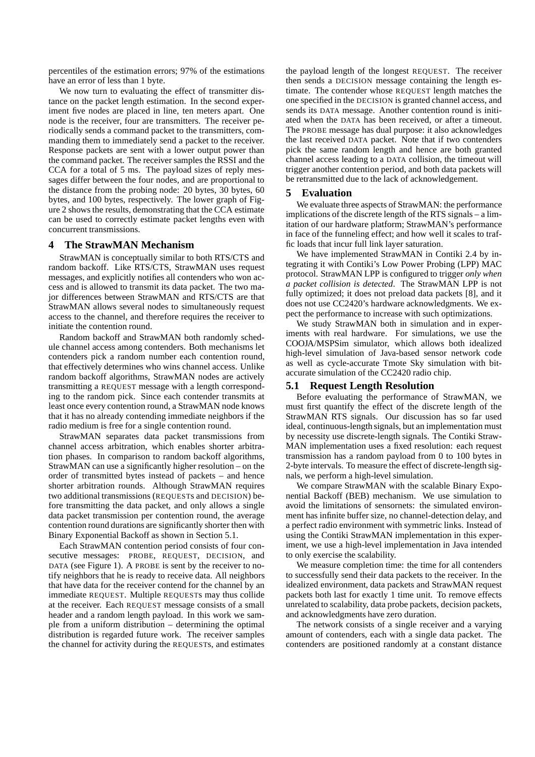percentiles of the estimation errors; 97% of the estimations have an error of less than 1 byte.

We now turn to evaluating the effect of transmitter distance on the packet length estimation. In the second experiment five nodes are placed in line, ten meters apart. One node is the receiver, four are transmitters. The receiver periodically sends a command packet to the transmitters, commanding them to immediately send a packet to the receiver. Response packets are sent with a lower output power than the command packet. The receiver samples the RSSI and the CCA for a total of 5 ms. The payload sizes of reply messages differ between the four nodes, and are proportional to the distance from the probing node: 20 bytes, 30 bytes, 60 bytes, and 100 bytes, respectively. The lower graph of Figure 2 shows the results, demonstrating that the CCA estimate can be used to correctly estimate packet lengths even with concurrent transmissions.

# **4 The StrawMAN Mechanism**

StrawMAN is conceptually similar to both RTS/CTS and random backoff. Like RTS/CTS, StrawMAN uses request messages, and explicitly notifies all contenders who won access and is allowed to transmit its data packet. The two major differences between StrawMAN and RTS/CTS are that StrawMAN allows several nodes to simultaneously request access to the channel, and therefore requires the receiver to initiate the contention round.

Random backoff and StrawMAN both randomly schedule channel access among contenders. Both mechanisms let contenders pick a random number each contention round, that effectively determines who wins channel access. Unlike random backoff algorithms, StrawMAN nodes are actively transmitting a REQUEST message with a length corresponding to the random pick. Since each contender transmits at least once every contention round, a StrawMAN node knows that it has no already contending immediate neighbors if the radio medium is free for a single contention round.

StrawMAN separates data packet transmissions from channel access arbitration, which enables shorter arbitration phases. In comparison to random backoff algorithms, StrawMAN can use a significantly higher resolution – on the order of transmitted bytes instead of packets – and hence shorter arbitration rounds. Although StrawMAN requires two additional transmissions (REQUESTs and DECISION) before transmitting the data packet, and only allows a single data packet transmission per contention round, the average contention round durations are significantly shorter then with Binary Exponential Backoff as shown in Section 5.1.

Each StrawMAN contention period consists of four consecutive messages: PROBE, REQUEST, DECISION, and DATA (see Figure 1). A PROBE is sent by the receiver to notify neighbors that he is ready to receive data. All neighbors that have data for the receiver contend for the channel by an immediate REQUEST. Multiple REQUESTs may thus collide at the receiver. Each REQUEST message consists of a small header and a random length payload. In this work we sample from a uniform distribution – determining the optimal distribution is regarded future work. The receiver samples the channel for activity during the REQUESTs, and estimates the payload length of the longest REQUEST. The receiver then sends a DECISION message containing the length estimate. The contender whose REQUEST length matches the one specified in the DECISION is granted channel access, and sends its DATA message. Another contention round is initiated when the DATA has been received, or after a timeout. The PROBE message has dual purpose: it also acknowledges the last received DATA packet. Note that if two contenders pick the same random length and hence are both granted channel access leading to a DATA collision, the timeout will trigger another contention period, and both data packets will be retransmitted due to the lack of acknowledgement.

#### **5 Evaluation**

We evaluate three aspects of StrawMAN: the performance implications of the discrete length of the RTS signals – a limitation of our hardware platform; StrawMAN's performance in face of the funneling effect; and how well it scales to traffic loads that incur full link layer saturation.

We have implemented StrawMAN in Contiki 2.4 by integrating it with Contiki's Low Power Probing (LPP) MAC protocol. StrawMAN LPP is configured to trigger *only when a packet collision is detected*. The StrawMAN LPP is not fully optimized; it does not preload data packets [8], and it does not use CC2420's hardware acknowledgments. We expect the performance to increase with such optimizations.

We study StrawMAN both in simulation and in experiments with real hardware. For simulations, we use the COOJA/MSPSim simulator, which allows both idealized high-level simulation of Java-based sensor network code as well as cycle-accurate Tmote Sky simulation with bitaccurate simulation of the CC2420 radio chip.

## **5.1 Request Length Resolution**

Before evaluating the performance of StrawMAN, we must first quantify the effect of the discrete length of the StrawMAN RTS signals. Our discussion has so far used ideal, continuous-length signals, but an implementation must by necessity use discrete-length signals. The Contiki Straw-MAN implementation uses a fixed resolution: each request transmission has a random payload from 0 to 100 bytes in 2-byte intervals. To measure the effect of discrete-length signals, we perform a high-level simulation.

We compare StrawMAN with the scalable Binary Exponential Backoff (BEB) mechanism. We use simulation to avoid the limitations of sensornets: the simulated environment has infinite buffer size, no channel-detection delay, and a perfect radio environment with symmetric links. Instead of using the Contiki StrawMAN implementation in this experiment, we use a high-level implementation in Java intended to only exercise the scalability.

We measure completion time: the time for all contenders to successfully send their data packets to the receiver. In the idealized environment, data packets and StrawMAN request packets both last for exactly 1 time unit. To remove effects unrelated to scalability, data probe packets, decision packets, and acknowledgments have zero duration.

The network consists of a single receiver and a varying amount of contenders, each with a single data packet. The contenders are positioned randomly at a constant distance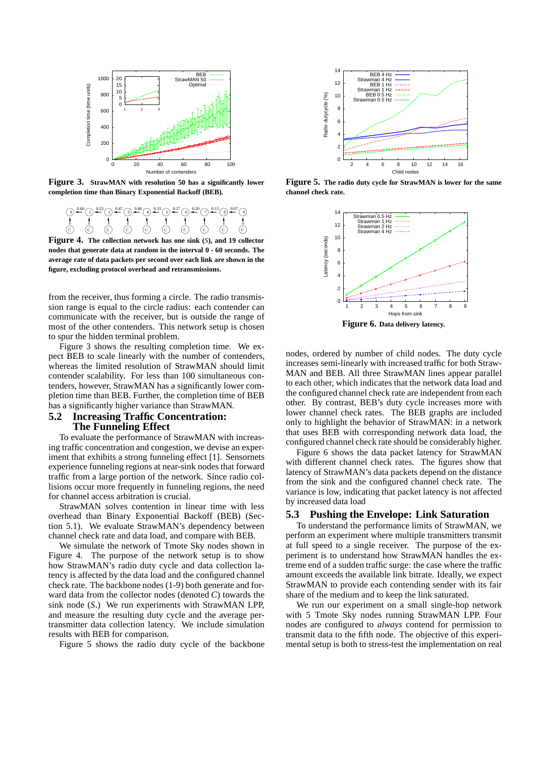

**Figure 3. StrawMAN with resolution 50 has a significantly lower completion time than Binary Exponential Backoff (BEB).**



**Figure 4. The collection network has one sink (***S***), and 19 collector nodes that generate data at random in the interval 0 - 60 seconds. The average rate of data packets per second over each link are shown in the figure, excluding protocol overhead and retransmissions.**

from the receiver, thus forming a circle. The radio transmission range is equal to the circle radius: each contender can communicate with the receiver, but is outside the range of most of the other contenders. This network setup is chosen to spur the hidden terminal problem.

Figure 3 shows the resulting completion time. We expect BEB to scale linearly with the number of contenders, whereas the limited resolution of StrawMAN should limit contender scalability. For less than 100 simultaneous contenders, however, StrawMAN has a significantly lower completion time than BEB. Further, the completion time of BEB has a significantly higher variance than StrawMAN.

# **5.2 Increasing Traffic Concentration: The Funneling Effect**

To evaluate the performance of StrawMAN with increasing traffic concentration and congestion, we devise an experiment that exhibits a strong funneling effect [1]. Sensornets experience funneling regions at near-sink nodes that forward traffic from a large portion of the network. Since radio collisions occur more frequently in funneling regions, the need for channel access arbitration is crucial.

StrawMAN solves contention in linear time with less overhead than Binary Exponential Backoff (BEB) (Section 5.1). We evaluate StrawMAN's dependency between channel check rate and data load, and compare with BEB.

We simulate the network of Tmote Sky nodes shown in Figure 4. The purpose of the network setup is to show how StrawMAN's radio duty cycle and data collection latency is affected by the data load and the configured channel check rate. The backbone nodes (1-9) both generate and forward data from the collector nodes (denoted *C*) towards the sink node (*S*.) We run experiments with StrawMAN LPP, and measure the resulting duty cycle and the average pertransmitter data collection latency. We include simulation results with BEB for comparison.

Figure 5 shows the radio duty cycle of the backbone



**Figure 5. The radio duty cycle for StrawMAN is lower for the same channel check rate.**



nodes, ordered by number of child nodes. The duty cycle increases semi-linearly with increased traffic for both Straw-MAN and BEB. All three StrawMAN lines appear parallel to each other, which indicates that the network data load and the configured channel check rate are independent from each other. By contrast, BEB's duty cycle increases more with lower channel check rates. The BEB graphs are included only to highlight the behavior of StrawMAN: in a network that uses BEB with corresponding network data load, the configured channel check rate should be considerably higher.

Figure 6 shows the data packet latency for StrawMAN with different channel check rates. The figures show that latency of StrawMAN's data packets depend on the distance from the sink and the configured channel check rate. The variance is low, indicating that packet latency is not affected by increased data load

### **5.3 Pushing the Envelope: Link Saturation**

To understand the performance limits of StrawMAN, we perform an experiment where multiple transmitters transmit at full speed to a single receiver. The purpose of the experiment is to understand how StrawMAN handles the extreme end of a sudden traffic surge: the case where the traffic amount exceeds the available link bitrate. Ideally, we expect StrawMAN to provide each contending sender with its fair share of the medium and to keep the link saturated.

We run our experiment on a small single-hop network with 5 Tmote Sky nodes running StrawMAN LPP. Four nodes are configured to *always* contend for permission to transmit data to the fifth node. The objective of this experimental setup is both to stress-test the implementation on real